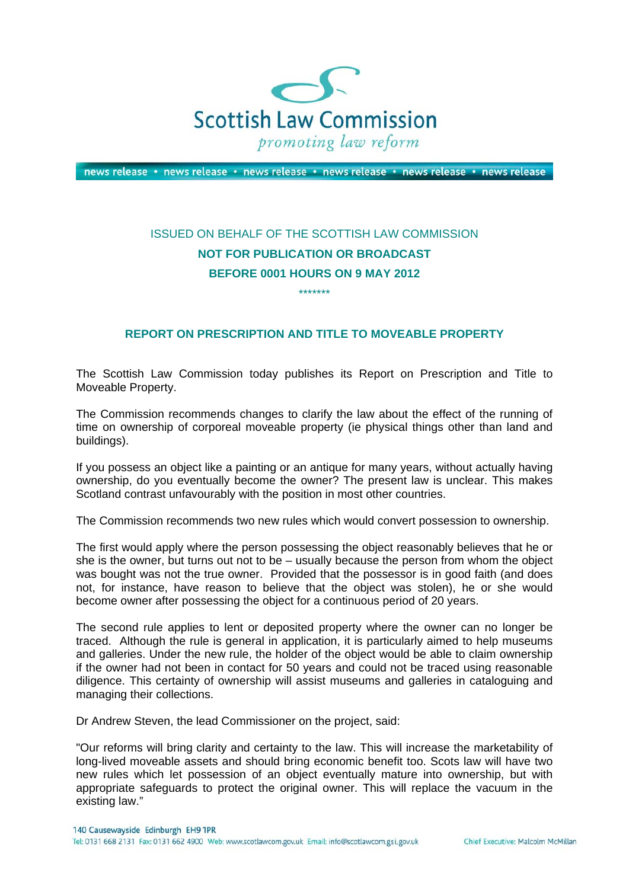

news release · news release · news release · news release · news release · news release

## ISSUED ON BEHALF OF THE SCOTTISH LAW COMMISSION **NOT FOR PUBLICATION OR BROADCAST BEFORE 0001 HOURS ON 9 MAY 2012**

\*\*\*\*\*\*\*

## **REPORT ON PRESCRIPTION AND TITLE TO MOVEABLE PROPERTY**

The Scottish Law Commission today publishes its Report on Prescription and Title to Moveable Property.

The Commission recommends changes to clarify the law about the effect of the running of time on ownership of corporeal moveable property (ie physical things other than land and buildings).

If you possess an object like a painting or an antique for many years, without actually having ownership, do you eventually become the owner? The present law is unclear. This makes Scotland contrast unfavourably with the position in most other countries.

The Commission recommends two new rules which would convert possession to ownership.

The first would apply where the person possessing the object reasonably believes that he or she is the owner, but turns out not to be – usually because the person from whom the object was bought was not the true owner. Provided that the possessor is in good faith (and does not, for instance, have reason to believe that the object was stolen), he or she would become owner after possessing the object for a continuous period of 20 years.

The second rule applies to lent or deposited property where the owner can no longer be traced. Although the rule is general in application, it is particularly aimed to help museums and galleries. Under the new rule, the holder of the object would be able to claim ownership if the owner had not been in contact for 50 years and could not be traced using reasonable diligence. This certainty of ownership will assist museums and galleries in cataloguing and managing their collections.

Dr Andrew Steven, the lead Commissioner on the project, said:

"Our reforms will bring clarity and certainty to the law. This will increase the marketability of long-lived moveable assets and should bring economic benefit too. Scots law will have two new rules which let possession of an object eventually mature into ownership, but with appropriate safeguards to protect the original owner. This will replace the vacuum in the existing law."